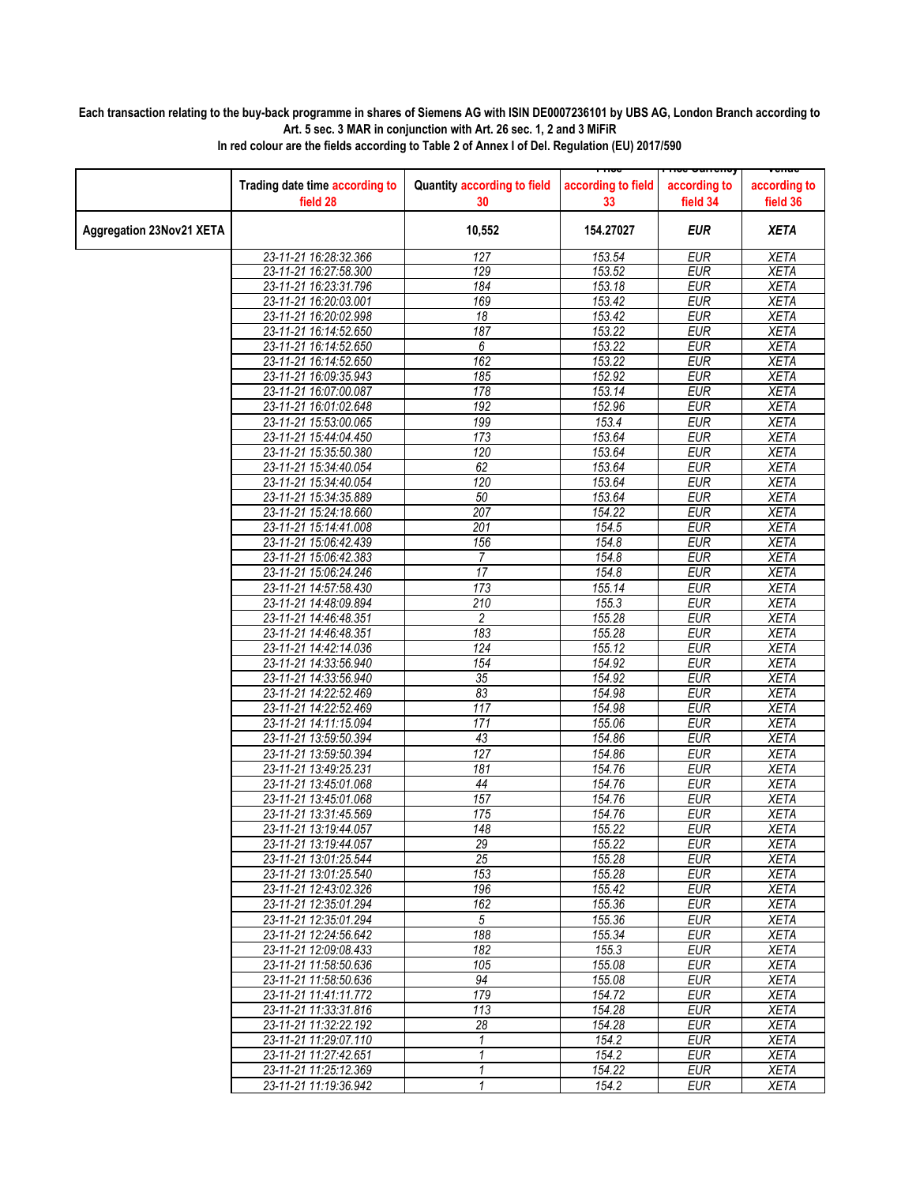## **Each transaction relating to the buy-back programme in shares of Siemens AG with ISIN DE0007236101 by UBS AG, London Branch according to Art. 5 sec. 3 MAR in conjunction with Art. 26 sec. 1, 2 and 3 MiFiR**

|                                 |                                                |                                   |                          | <del>noc ounchcy</del>   | <del>venue</del>         |
|---------------------------------|------------------------------------------------|-----------------------------------|--------------------------|--------------------------|--------------------------|
|                                 | Trading date time according to<br>field 28     | Quantity according to field<br>30 | according to field<br>33 | according to<br>field 34 | according to<br>field 36 |
| <b>Aggregation 23Nov21 XETA</b> |                                                | 10,552                            | 154.27027                | <b>EUR</b>               | <b>XETA</b>              |
|                                 | 23-11-21 16:28:32.366                          | 127                               | 153.54                   | <b>EUR</b>               | <b>XETA</b>              |
|                                 | 23-11-21 16:27:58.300                          | 129                               | 153.52                   | <b>EUR</b>               | <b>XETA</b>              |
|                                 | 23-11-21 16:23:31.796                          | 184                               | 153.18                   | <b>EUR</b>               | <b>XETA</b>              |
|                                 | 23-11-21 16:20:03.001                          | 169                               | 153.42                   | <b>EUR</b>               | <b>XETA</b>              |
|                                 | 23-11-21 16:20:02.998                          | $\overline{18}$                   | 153.42                   | <b>EUR</b>               | <b>XETA</b>              |
|                                 | 23-11-21 16:14:52.650                          | 187                               | 153.22                   | <b>EUR</b>               | <b>XETA</b>              |
|                                 | 23-11-21 16:14:52.650                          | 6                                 | 153.22                   | <b>EUR</b>               | <b>XETA</b>              |
|                                 | 23-11-21 16:14:52.650                          | 162                               | 153.22                   | <b>EUR</b>               | <b>XETA</b>              |
|                                 | 23-11-21 16:09:35.943                          | 185                               | 152.92                   | <b>EUR</b>               | <b>XETA</b>              |
|                                 | 23-11-21 16:07:00.087                          | 178                               | 153.14                   | <b>EUR</b>               | <b>XETA</b>              |
|                                 | 23-11-21 16:01:02.648                          | 192                               | 152.96                   | <b>EUR</b>               | <b>XETA</b>              |
|                                 | 23-11-21 15:53:00.065                          | 199                               | 153.4                    | <b>EUR</b>               | <b>XETA</b>              |
|                                 | 23-11-21 15:44:04.450                          | 173                               | 153.64                   | <b>EUR</b>               | <b>XETA</b>              |
|                                 | 23-11-21 15:35:50.380                          | 120                               | 153.64                   | <b>EUR</b>               | <b>XETA</b>              |
|                                 | 23-11-21 15:34:40.054                          | 62                                | 153.64                   | <b>EUR</b>               | <b>XETA</b>              |
|                                 | 23-11-21 15:34:40.054                          | 120                               | 153.64                   | <b>EUR</b>               | <b>XETA</b>              |
|                                 | 23-11-21 15:34:35.889                          | 50                                | 153.64                   | <b>EUR</b>               | <b>XETA</b>              |
|                                 | 23-11-21 15:24:18.660                          | 207                               | 154.22                   | <b>EUR</b>               | <b>XETA</b>              |
|                                 | 23-11-21 15:14:41.008                          | 201                               | 154.5                    | <b>EUR</b>               | <b>XETA</b>              |
|                                 | 23-11-21 15:06:42.439                          | 156                               | 154.8                    | <b>EUR</b>               | <b>XETA</b>              |
|                                 | 23-11-21 15:06:42.383                          | 7                                 | 154.8                    | <b>EUR</b>               | <b>XETA</b>              |
|                                 | 23-11-21 15:06:24.246                          | 17                                | 154.8                    | <b>EUR</b>               | <b>XETA</b>              |
|                                 |                                                | 173                               |                          | <b>EUR</b>               | <b>XETA</b>              |
|                                 | 23-11-21 14:57:58.430                          | 210                               | 155.14<br>155.3          | <b>EUR</b>               | <b>XETA</b>              |
|                                 | 23-11-21 14:48:09.894<br>23-11-21 14:46:48.351 | $\overline{2}$                    | 155.28                   | <b>EUR</b>               | <b>XETA</b>              |
|                                 |                                                | 183                               |                          |                          |                          |
|                                 | 23-11-21 14:46:48.351                          |                                   | 155.28                   | <b>EUR</b>               | <b>XETA</b>              |
|                                 | 23-11-21 14:42:14.036                          | 124<br>154                        | 155.12                   | <b>EUR</b>               | <b>XETA</b>              |
|                                 | 23-11-21 14:33:56.940                          |                                   | 154.92                   | <b>EUR</b>               | <b>XETA</b>              |
|                                 | 23-11-21 14:33:56.940                          | 35                                | 154.92                   | <b>EUR</b>               | <b>XETA</b>              |
|                                 | 23-11-21 14:22:52.469                          | 83                                | 154.98                   | <b>EUR</b>               | <b>XETA</b>              |
|                                 | 23-11-21 14:22:52.469                          | 117                               | 154.98                   | <b>EUR</b>               | <b>XETA</b>              |
|                                 | 23-11-21 14:11:15.094                          | 171                               | 155.06                   | <b>EUR</b>               | <b>XETA</b>              |
|                                 | 23-11-21 13:59:50.394                          | 43                                | 154.86                   | <b>EUR</b>               | <b>XETA</b>              |
|                                 | 23-11-21 13:59:50.394                          | 127                               | 154.86                   | <b>EUR</b>               | <b>XETA</b>              |
|                                 | 23-11-21 13:49:25.231                          | 181                               | 154.76                   | <b>EUR</b>               | <b>XETA</b>              |
|                                 | 23-11-21 13:45:01.068                          | 44                                | 154.76                   | <b>EUR</b>               | <b>XETA</b>              |
|                                 | 23-11-21 13:45:01.068                          | 157                               | 154.76                   | <b>EUR</b>               | <b>XETA</b>              |
|                                 | 23-11-21 13:31:45.569                          | 175                               | 154.76                   | <b>EUR</b>               | <b>XETA</b>              |
|                                 | 23-11-21 13:19:44.057                          | 148                               | 155.22                   | EUR                      | <b>XETA</b>              |
|                                 | 23-11-21 13:19:44.057                          | 29                                | 155.22                   | <b>EUR</b>               | <b>XETA</b>              |
|                                 | 23-11-21 13:01:25.544                          | 25                                | 155.28                   | <b>EUR</b>               | XETA                     |
|                                 | 23-11-21 13:01:25.540                          | 153                               | 155.28                   | <b>EUR</b>               | XETA                     |
|                                 | 23-11-21 12:43:02.326                          | 196                               | 155.42                   | <b>EUR</b>               | XETA                     |
|                                 | 23-11-21 12:35:01.294                          | 162                               | 155.36                   | <b>EUR</b>               | <b>XETA</b>              |
|                                 | 23-11-21 12:35:01.294                          | 5                                 | 155.36                   | <b>EUR</b>               | <b>XETA</b>              |
|                                 | 23-11-21 12:24:56.642                          | 188                               | 155.34                   | <b>EUR</b>               | <b>XETA</b>              |
|                                 | 23-11-21 12:09:08.433                          | 182                               | 155.3                    | <b>EUR</b>               | <b>XETA</b>              |
|                                 | 23-11-21 11:58:50.636                          | 105                               | 155.08                   | EUR                      | XETA                     |
|                                 | 23-11-21 11:58:50.636                          | 94                                | 155.08                   | <b>EUR</b>               | <b>XETA</b>              |
|                                 | 23-11-21 11:41:11.772                          | 179                               | 154.72                   | <b>EUR</b>               | <b>XETA</b>              |
|                                 | 23-11-21 11:33:31.816                          | 113                               | 154.28                   | <b>EUR</b>               | <b>XETA</b>              |
|                                 | 23-11-21 11:32:22.192                          | 28                                | 154.28                   | <b>EUR</b>               | <b>XETA</b>              |
|                                 | 23-11-21 11:29:07.110                          | 1                                 | 154.2                    | <b>EUR</b>               | <b>XETA</b>              |
|                                 | 23-11-21 11:27:42.651                          | 1                                 | 154.2                    | <b>EUR</b>               | <b>XETA</b>              |
|                                 | 23-11-21 11:25:12.369                          | 1                                 | 154.22                   | EUR                      | XETA                     |
|                                 | 23-11-21 11:19:36.942                          | $\mathbf{1}$                      | 154.2                    | <b>EUR</b>               | <b>XETA</b>              |

**In red colour are the fields according to Table 2 of Annex I of Del. Regulation (EU) 2017/590**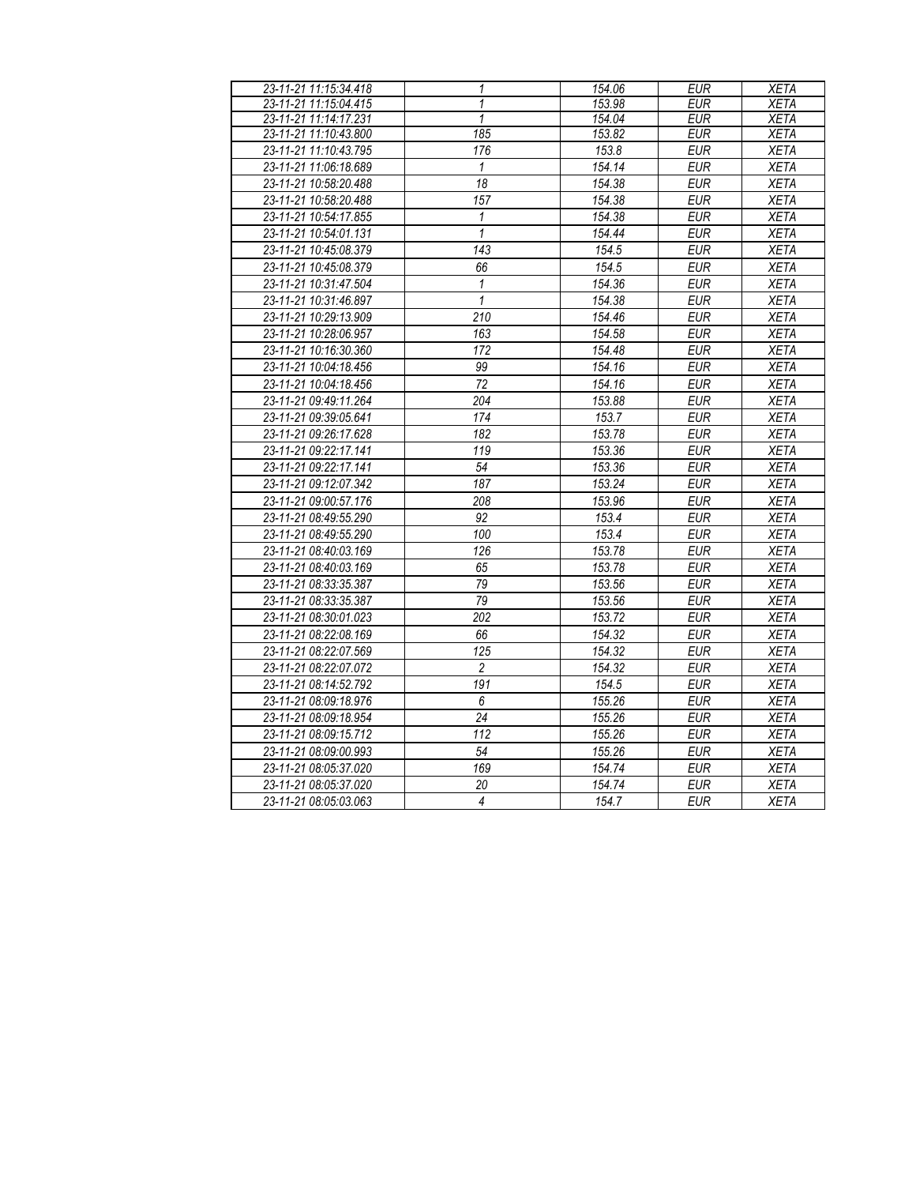| 23-11-21 11:15:34.418 | $\mathbf{1}$    | 154.06 | <b>EUR</b> | <b>XETA</b> |
|-----------------------|-----------------|--------|------------|-------------|
| 23-11-21 11:15:04.415 | 1               | 153.98 | <b>EUR</b> | <b>XETA</b> |
| 23-11-21 11:14:17.231 | 1               | 154.04 | <b>EUR</b> | <b>XETA</b> |
| 23-11-21 11:10:43.800 | 185             | 153.82 | <b>EUR</b> | XETA        |
| 23-11-21 11:10:43.795 | 176             | 153.8  | <b>EUR</b> | <b>XETA</b> |
| 23-11-21 11:06:18.689 | $\mathbf{1}$    | 154.14 | <b>EUR</b> | <b>XETA</b> |
| 23-11-21 10:58:20.488 | 18              | 154.38 | <b>EUR</b> | <b>XETA</b> |
| 23-11-21 10:58:20.488 | 157             | 154.38 | <b>EUR</b> | <b>XETA</b> |
| 23-11-21 10:54:17.855 | 1               | 154.38 | <b>EUR</b> | <b>XETA</b> |
| 23-11-21 10:54:01.131 | $\mathbf{1}$    | 154.44 | <b>EUR</b> | <b>XETA</b> |
| 23-11-21 10:45:08.379 | 143             | 154.5  | <b>EUR</b> | <b>XETA</b> |
| 23-11-21 10:45:08.379 | 66              | 154.5  | <b>EUR</b> | <b>XETA</b> |
| 23-11-21 10:31:47.504 | 1               | 154.36 | <b>EUR</b> | <b>XETA</b> |
| 23-11-21 10:31:46.897 | $\mathbf{1}$    | 154.38 | <b>EUR</b> | <b>XETA</b> |
| 23-11-21 10:29:13.909 | 210             | 154.46 | <b>EUR</b> | <b>XETA</b> |
| 23-11-21 10:28:06.957 | 163             | 154.58 | <b>EUR</b> | <b>XETA</b> |
| 23-11-21 10:16:30.360 | 172             | 154.48 | <b>EUR</b> | <b>XETA</b> |
| 23-11-21 10:04:18.456 | 99              | 154.16 | <b>EUR</b> | <b>XETA</b> |
| 23-11-21 10:04:18.456 | 72              | 154.16 | <b>EUR</b> | <b>XETA</b> |
| 23-11-21 09:49:11.264 | 204             | 153.88 | <b>EUR</b> | <b>XETA</b> |
| 23-11-21 09:39:05.641 | 174             | 153.7  | EUR        | <b>XETA</b> |
| 23-11-21 09:26:17.628 | 182             | 153.78 | <b>EUR</b> | <b>XETA</b> |
| 23-11-21 09:22:17.141 | 119             | 153.36 | <b>EUR</b> | <b>XETA</b> |
| 23-11-21 09:22:17.141 | 54              | 153.36 | <b>EUR</b> | <b>XETA</b> |
| 23-11-21 09:12:07.342 | 187             | 153.24 | <b>EUR</b> | <b>XETA</b> |
| 23-11-21 09:00:57.176 | 208             | 153.96 | <b>EUR</b> | <b>XETA</b> |
| 23-11-21 08:49:55.290 | 92              | 153.4  | EUR        | <b>XETA</b> |
| 23-11-21 08:49:55.290 | 100             | 153.4  | <b>EUR</b> | <b>XETA</b> |
| 23-11-21 08:40:03.169 | 126             | 153.78 | <b>EUR</b> | <b>XETA</b> |
| 23-11-21 08:40:03.169 | 65              | 153.78 | <b>EUR</b> | <b>XETA</b> |
| 23-11-21 08:33:35.387 | 79              | 153.56 | <b>EUR</b> | <b>XETA</b> |
| 23-11-21 08:33:35.387 | 79              | 153.56 | <b>EUR</b> | <b>XETA</b> |
| 23-11-21 08:30:01.023 | 202             | 153.72 | <b>EUR</b> | <b>XETA</b> |
| 23-11-21 08:22:08.169 | 66              | 154.32 | EUR        | <b>XETA</b> |
| 23-11-21 08:22:07.569 | 125             | 154.32 | <b>EUR</b> | XETA        |
| 23-11-21 08:22:07.072 | $\overline{2}$  | 154.32 | <b>EUR</b> | <b>XETA</b> |
| 23-11-21 08:14:52.792 | 191             | 154.5  | <b>EUR</b> | <b>XETA</b> |
| 23-11-21 08:09:18.976 | $\overline{6}$  | 155.26 | EUR        | <b>XETA</b> |
| 23-11-21 08:09:18.954 | $\overline{24}$ | 155.26 | <b>EUR</b> | <b>XETA</b> |
| 23-11-21 08:09:15.712 | 112             | 155.26 | EUR        | <b>XETA</b> |
| 23-11-21 08:09:00.993 | 54              | 155.26 | <b>EUR</b> | <b>XETA</b> |
| 23-11-21 08:05:37.020 | 169             | 154.74 | <b>EUR</b> | <b>XETA</b> |
| 23-11-21 08:05:37.020 | 20              | 154.74 | <b>EUR</b> | XETA        |
|                       | $\overline{4}$  | 154.7  | <b>EUR</b> | XETA        |
| 23-11-21 08:05:03.063 |                 |        |            |             |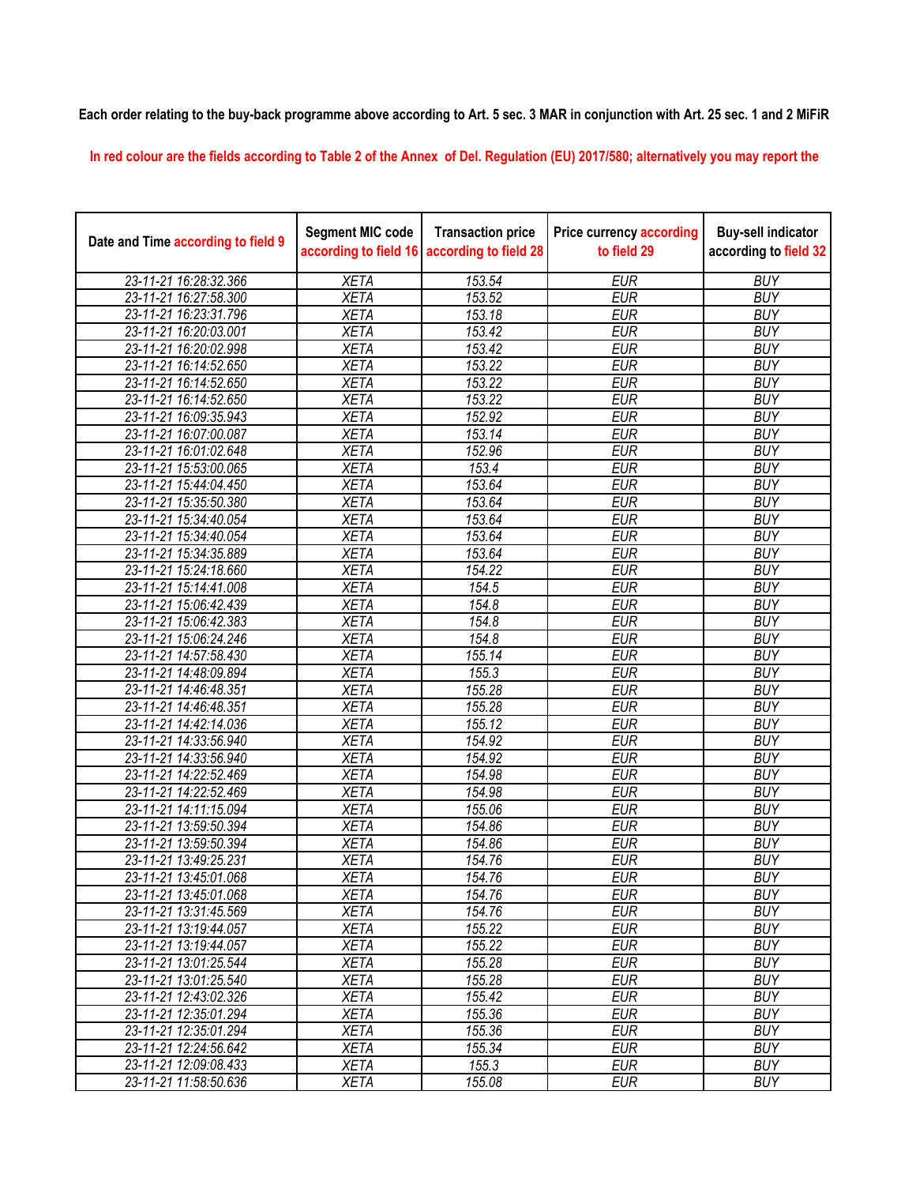**Each order relating to the buy-back programme above according to Art. 5 sec. 3 MAR in conjunction with Art. 25 sec. 1 and 2 MiFiR** 

**In red colour are the fields according to Table 2 of the Annex of Del. Regulation (EU) 2017/580; alternatively you may report the** 

| Date and Time according to field 9 | <b>Segment MIC code</b><br>according to field 16 | <b>Transaction price</b><br>according to field 28 | <b>Price currency according</b><br>to field 29 | <b>Buy-sell indicator</b><br>according to field 32 |
|------------------------------------|--------------------------------------------------|---------------------------------------------------|------------------------------------------------|----------------------------------------------------|
| 23-11-21 16:28:32.366              | <b>XETA</b>                                      | 153.54                                            | <b>EUR</b>                                     | <b>BUY</b>                                         |
| 23-11-21 16:27:58.300              | <b>XETA</b>                                      | 153.52                                            | <b>EUR</b>                                     | <b>BUY</b>                                         |
| 23-11-21 16:23:31.796              | <b>XETA</b>                                      | 153.18                                            | <b>EUR</b>                                     | <b>BUY</b>                                         |
| 23-11-21 16:20:03.001              | <b>XETA</b>                                      | 153.42                                            | <b>EUR</b>                                     | <b>BUY</b>                                         |
| 23-11-21 16:20:02.998              | <b>XETA</b>                                      | 153.42                                            | <b>EUR</b>                                     | <b>BUY</b>                                         |
| 23-11-21 16:14:52.650              | <b>XETA</b>                                      | 153.22                                            | <b>EUR</b>                                     | <b>BUY</b>                                         |
| 23-11-21 16:14:52.650              | <b>XETA</b>                                      | 153.22                                            | <b>EUR</b>                                     | <b>BUY</b>                                         |
| 23-11-21 16:14:52.650              | <b>XETA</b>                                      | 153.22                                            | <b>EUR</b>                                     | <b>BUY</b>                                         |
| 23-11-21 16:09:35.943              | <b>XETA</b>                                      | 152.92                                            | <b>EUR</b>                                     | <b>BUY</b>                                         |
| 23-11-21 16:07:00.087              | <b>XETA</b>                                      | 153.14                                            | <b>EUR</b>                                     | <b>BUY</b>                                         |
| 23-11-21 16:01:02.648              | <b>XETA</b>                                      | 152.96                                            | <b>EUR</b>                                     | <b>BUY</b>                                         |
| 23-11-21 15:53:00.065              | <b>XETA</b>                                      | 153.4                                             | <b>EUR</b>                                     | <b>BUY</b>                                         |
| 23-11-21 15:44:04.450              | <b>XETA</b>                                      | 153.64                                            | <b>EUR</b>                                     | <b>BUY</b>                                         |
| 23-11-21 15:35:50.380              | <b>XETA</b>                                      | 153.64                                            | <b>EUR</b>                                     | <b>BUY</b>                                         |
| 23-11-21 15:34:40.054              | <b>XETA</b>                                      | 153.64                                            | <b>EUR</b>                                     | <b>BUY</b>                                         |
| 23-11-21 15:34:40.054              | <b>XETA</b>                                      | 153.64                                            | <b>EUR</b>                                     | <b>BUY</b>                                         |
| 23-11-21 15:34:35.889              | <b>XETA</b>                                      | 153.64                                            | <b>EUR</b>                                     | <b>BUY</b>                                         |
| 23-11-21 15:24:18.660              | <b>XETA</b>                                      | 154.22                                            | <b>EUR</b>                                     | <b>BUY</b>                                         |
| 23-11-21 15:14:41.008              | <b>XETA</b>                                      | 154.5                                             | <b>EUR</b>                                     | <b>BUY</b>                                         |
| 23-11-21 15:06:42.439              | <b>XETA</b>                                      | 154.8                                             | <b>EUR</b>                                     | <b>BUY</b>                                         |
| 23-11-21 15:06:42.383              | <b>XETA</b>                                      | 154.8                                             | <b>EUR</b>                                     | <b>BUY</b>                                         |
| 23-11-21 15:06:24.246              | <b>XETA</b>                                      | 154.8                                             | <b>EUR</b>                                     | <b>BUY</b>                                         |
| 23-11-21 14:57:58.430              | <b>XETA</b>                                      | 155.14                                            | <b>EUR</b>                                     | <b>BUY</b>                                         |
| 23-11-21 14:48:09.894              | <b>XETA</b>                                      | 155.3                                             | <b>EUR</b>                                     | <b>BUY</b>                                         |
| 23-11-21 14:46:48.351              | <b>XETA</b>                                      | 155.28                                            | <b>EUR</b>                                     | <b>BUY</b>                                         |
| 23-11-21 14:46:48.351              | <b>XETA</b>                                      | 155.28                                            | <b>EUR</b>                                     | <b>BUY</b>                                         |
| 23-11-21 14:42:14.036              | <b>XETA</b>                                      | 155.12                                            | <b>EUR</b>                                     | <b>BUY</b>                                         |
| 23-11-21 14:33:56.940              | <b>XETA</b>                                      | 154.92                                            | <b>EUR</b>                                     | <b>BUY</b>                                         |
| 23-11-21 14:33:56.940              | <b>XETA</b>                                      | 154.92                                            | <b>EUR</b>                                     | <b>BUY</b>                                         |
| 23-11-21 14:22:52.469              | <b>XETA</b>                                      | 154.98                                            | <b>EUR</b>                                     | <b>BUY</b>                                         |
| 23-11-21 14:22:52.469              | <b>XETA</b>                                      | 154.98                                            | <b>EUR</b>                                     | <b>BUY</b>                                         |
| 23-11-21 14:11:15.094              | <b>XETA</b>                                      | 155.06                                            | <b>EUR</b>                                     | <b>BUY</b>                                         |
| 23-11-21 13:59:50.394              | <b>XETA</b>                                      | 154.86                                            | <b>EUR</b>                                     | <b>BUY</b>                                         |
| 23-11-21 13:59:50.394              | <b>XETA</b>                                      | 154.86                                            | <b>EUR</b>                                     | <b>BUY</b>                                         |
| 23-11-21 13:49:25.231              | <b>XETA</b>                                      | 154.76                                            | <b>EUR</b>                                     | <b>BUY</b>                                         |
| 23-11-21 13:45:01.068              | <b>XETA</b>                                      | 154.76                                            | <b>EUR</b>                                     | <b>BUY</b>                                         |
| 23-11-21 13:45:01.068              | <b>XETA</b>                                      | 154.76                                            | <b>EUR</b>                                     | <b>BUY</b>                                         |
| 23-11-21 13:31:45.569              | <b>XETA</b>                                      | 154.76                                            | <b>EUR</b>                                     | <b>BUY</b>                                         |
| 23-11-21 13:19:44.057              | <b>XETA</b>                                      | 155.22                                            | <b>EUR</b>                                     | <b>BUY</b>                                         |
| 23-11-21 13:19:44.057              | <b>XETA</b>                                      | 155.22                                            | <b>EUR</b>                                     | <b>BUY</b>                                         |
| 23-11-21 13:01:25.544              | <b>XETA</b>                                      | 155.28                                            | <b>EUR</b>                                     | <b>BUY</b>                                         |
| 23-11-21 13:01:25.540              | <b>XETA</b>                                      | 155.28                                            | <b>EUR</b>                                     | <b>BUY</b>                                         |
| 23-11-21 12:43:02.326              | <b>XETA</b>                                      | 155.42                                            | <b>EUR</b>                                     | <b>BUY</b>                                         |
| 23-11-21 12:35:01.294              | <b>XETA</b>                                      | 155.36                                            | <b>EUR</b>                                     | <b>BUY</b>                                         |
| 23-11-21 12:35:01.294              | <b>XETA</b>                                      | 155.36                                            | <b>EUR</b>                                     | <b>BUY</b>                                         |
| 23-11-21 12:24:56.642              | <b>XETA</b>                                      | 155.34                                            | <b>EUR</b>                                     | <b>BUY</b>                                         |
| 23-11-21 12:09:08.433              | <b>XETA</b>                                      | 155.3                                             | <b>EUR</b>                                     | <b>BUY</b>                                         |
| 23-11-21 11:58:50.636              | <b>XETA</b>                                      | 155.08                                            | <b>EUR</b>                                     | <b>BUY</b>                                         |